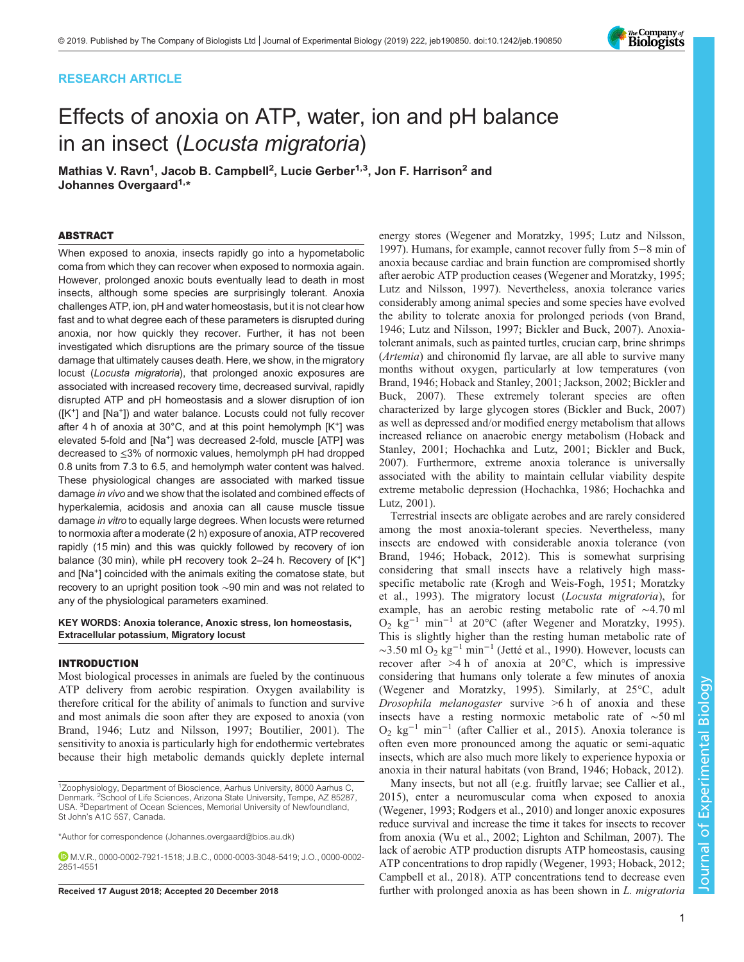# RESEARCH ARTICLE

# Effects of anoxia on ATP, water, ion and pH balance in an insect (Locusta migratoria)

Mathias V. Ravn<sup>1</sup>, Jacob B. Campbell<sup>2</sup>, Lucie Gerber<sup>1,3</sup>, Jon F. Harrison<sup>2</sup> and Johannes Overgaard<sup>1,\*</sup>

#### ABSTRACT

When exposed to anoxia, insects rapidly go into a hypometabolic coma from which they can recover when exposed to normoxia again. However, prolonged anoxic bouts eventually lead to death in most insects, although some species are surprisingly tolerant. Anoxia challenges ATP, ion, pH and water homeostasis, but it is not clear how fast and to what degree each of these parameters is disrupted during anoxia, nor how quickly they recover. Further, it has not been investigated which disruptions are the primary source of the tissue damage that ultimately causes death. Here, we show, in the migratory locust (Locusta migratoria), that prolonged anoxic exposures are associated with increased recovery time, decreased survival, rapidly disrupted ATP and pH homeostasis and a slower disruption of ion  $([K^+]$  and  $[Na^+]$ ) and water balance. Locusts could not fully recover after 4 h of anoxia at  $30^{\circ}$ C, and at this point hemolymph  $[K^+]$  was elevated 5-fold and [Na<sup>+</sup>] was decreased 2-fold, muscle [ATP] was decreased to ≤3% of normoxic values, hemolymph pH had dropped 0.8 units from 7.3 to 6.5, and hemolymph water content was halved. These physiological changes are associated with marked tissue damage in vivo and we show that the isolated and combined effects of hyperkalemia, acidosis and anoxia can all cause muscle tissue damage in vitro to equally large degrees. When locusts were returned to normoxia after a moderate (2 h) exposure of anoxia, ATP recovered rapidly (15 min) and this was quickly followed by recovery of ion balance (30 min), while pH recovery took 2-24 h. Recovery of [K<sup>+</sup>] and [Na+] coincided with the animals exiting the comatose state, but recovery to an upright position took ∼90 min and was not related to any of the physiological parameters examined.

KEY WORDS: Anoxia tolerance, Anoxic stress, Ion homeostasis, Extracellular potassium, Migratory locust

#### INTRODUCTION

Most biological processes in animals are fueled by the continuous ATP delivery from aerobic respiration. Oxygen availability is therefore critical for the ability of animals to function and survive and most animals die soon after they are exposed to anoxia ([von](#page-9-0) [Brand, 1946](#page-9-0); [Lutz and Nilsson, 1997](#page-9-0); [Boutilier, 2001](#page-8-0)). The sensitivity to anoxia is particularly high for endothermic vertebrates because their high metabolic demands quickly deplete internal

\*Author for correspondence [\(Johannes.overgaard@bios.au.dk](mailto:Johannes.overgaard@bios.au.dk))

energy stores [\(Wegener and Moratzky, 1995; Lutz and Nilsson,](#page-9-0) [1997\)](#page-9-0). Humans, for example, cannot recover fully from 5−8 min of anoxia because cardiac and brain function are compromised shortly after aerobic ATP production ceases ([Wegener and Moratzky, 1995](#page-9-0); [Lutz and Nilsson, 1997](#page-9-0)). Nevertheless, anoxia tolerance varies considerably among animal species and some species have evolved the ability to tolerate anoxia for prolonged periods [\(von Brand,](#page-9-0) [1946; Lutz and Nilsson, 1997](#page-9-0); [Bickler and Buck, 2007\)](#page-8-0). Anoxiatolerant animals, such as painted turtles, crucian carp, brine shrimps (Artemia) and chironomid fly larvae, are all able to survive many months without oxygen, particularly at low temperatures ([von](#page-9-0) [Brand, 1946](#page-9-0); [Hoback and Stanley, 2001;](#page-8-0) [Jackson, 2002;](#page-9-0) [Bickler and](#page-8-0) [Buck, 2007\)](#page-8-0). These extremely tolerant species are often characterized by large glycogen stores [\(Bickler and Buck, 2007\)](#page-8-0) as well as depressed and/or modified energy metabolism that allows increased reliance on anaerobic energy metabolism [\(Hoback and](#page-8-0) [Stanley, 2001](#page-8-0); [Hochachka and Lutz, 2001](#page-9-0); [Bickler and Buck,](#page-8-0) [2007\)](#page-8-0). Furthermore, extreme anoxia tolerance is universally associated with the ability to maintain cellular viability despite extreme metabolic depression ([Hochachka, 1986;](#page-8-0) [Hochachka and](#page-9-0) [Lutz, 2001](#page-9-0)).

Terrestrial insects are obligate aerobes and are rarely considered among the most anoxia-tolerant species. Nevertheless, many insects are endowed with considerable anoxia tolerance ([von](#page-9-0) [Brand, 1946;](#page-9-0) [Hoback, 2012](#page-8-0)). This is somewhat surprising considering that small insects have a relatively high massspecific metabolic rate ([Krogh and Weis-Fogh, 1951; Moratzky](#page-9-0) [et al., 1993\)](#page-9-0). The migratory locust (Locusta migratoria), for example, has an aerobic resting metabolic rate of ∼4.70 ml  $O_2$  kg<sup>-1</sup> min<sup>-1</sup> at 20°C (after [Wegener and Moratzky, 1995](#page-9-0)). This is slightly higher than the resting human metabolic rate of  $\sim$ 3.50 ml O<sub>2</sub> kg<sup>-1</sup> min<sup>-1</sup> [\(Jetté et al., 1990\)](#page-9-0). However, locusts can recover after  $>4 h$  of anoxia at 20 $\degree$ C, which is impressive considering that humans only tolerate a few minutes of anoxia [\(Wegener and Moratzky, 1995](#page-9-0)). Similarly, at 25°C, adult Drosophila melanogaster survive  $>6$  h of anoxia and these insects have a resting normoxic metabolic rate of ∼50 ml O2 kg−<sup>1</sup> min−<sup>1</sup> (after [Callier et al., 2015\)](#page-8-0). Anoxia tolerance is often even more pronounced among the aquatic or semi-aquatic insects, which are also much more likely to experience hypoxia or anoxia in their natural habitats [\(von Brand, 1946](#page-9-0); [Hoback, 2012\)](#page-8-0).

Many insects, but not all (e.g. fruitfly larvae; see [Callier et al.,](#page-8-0) [2015\)](#page-8-0), enter a neuromuscular coma when exposed to anoxia [\(Wegener, 1993](#page-9-0); [Rodgers et al., 2010](#page-9-0)) and longer anoxic exposures reduce survival and increase the time it takes for insects to recover from anoxia ([Wu et al., 2002; Lighton and Schilman, 2007\)](#page-9-0). The lack of aerobic ATP production disrupts ATP homeostasis, causing ATP concentrations to drop rapidly [\(Wegener, 1993](#page-9-0); [Hoback, 2012](#page-8-0); [Campbell et al., 2018](#page-8-0)). ATP concentrations tend to decrease even Received 17 August 2018; Accepted 20 December 2018 further with prolonged anoxia as has been shown in L. migratoria





<sup>&</sup>lt;sup>1</sup>Zoophysiology, Department of Bioscience, Aarhus University, 8000 Aarhus C, Denmark. <sup>2</sup>School of Life Sciences, Arizona State University, Tempe, AZ 85287, USA. <sup>3</sup>Department of Ocean Sciences, Memorial University of Newfoundland, St John's A1C 5S7, Canada.

M.V.R., [0000-0002-7921-1518](http://orcid.org/0000-0002-7921-1518); J.B.C., [0000-0003-3048-5419;](http://orcid.org/0000-0003-3048-5419) J.O., [0000-0002-](http://orcid.org/0000-0002-2851-4551) [2851-4551](http://orcid.org/0000-0002-2851-4551)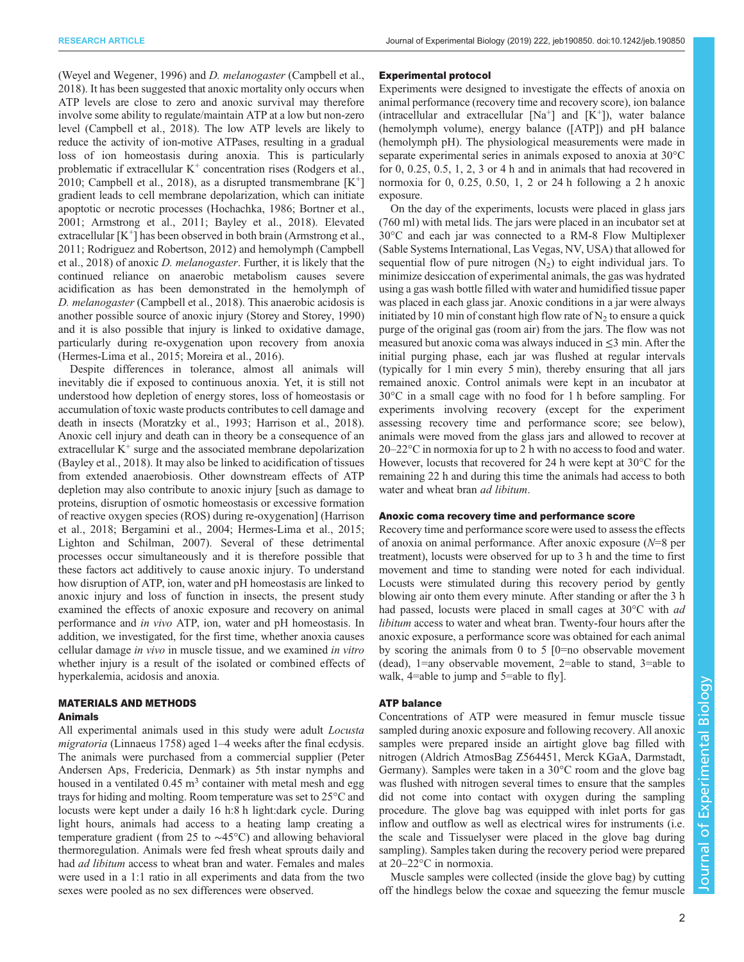[\(Weyel and Wegener, 1996\)](#page-9-0) and D. melanogaster [\(Campbell et al.,](#page-8-0) [2018](#page-8-0)). It has been suggested that anoxic mortality only occurs when ATP levels are close to zero and anoxic survival may therefore involve some ability to regulate/maintain ATP at a low but non-zero level [\(Campbell et al., 2018](#page-8-0)). The low ATP levels are likely to reduce the activity of ion-motive ATPases, resulting in a gradual loss of ion homeostasis during anoxia. This is particularly problematic if extracellular  $K^+$  concentration rises [\(Rodgers et al.,](#page-9-0) [2010](#page-9-0); [Campbell et al., 2018\)](#page-8-0), as a disrupted transmembrane  $[K^+]$ gradient leads to cell membrane depolarization, which can initiate apoptotic or necrotic processes [\(Hochachka, 1986](#page-8-0); [Bortner et al.,](#page-8-0) [2001](#page-8-0); [Armstrong et al., 2011; Bayley et al., 2018](#page-8-0)). Elevated extracellular  $[K^+]$  has been observed in both brain [\(Armstrong et al.,](#page-8-0) [2011](#page-8-0); [Rodriguez and Robertson, 2012\)](#page-9-0) and hemolymph [\(Campbell](#page-8-0) [et al., 2018\)](#page-8-0) of anoxic D. melanogaster. Further, it is likely that the continued reliance on anaerobic metabolism causes severe acidification as has been demonstrated in the hemolymph of D. melanogaster ([Campbell et al., 2018](#page-8-0)). This anaerobic acidosis is another possible source of anoxic injury ([Storey and Storey, 1990\)](#page-9-0) and it is also possible that injury is linked to oxidative damage, particularly during re-oxygenation upon recovery from anoxia [\(Hermes-Lima et al., 2015](#page-8-0); [Moreira et al., 2016\)](#page-9-0).

Despite differences in tolerance, almost all animals will inevitably die if exposed to continuous anoxia. Yet, it is still not understood how depletion of energy stores, loss of homeostasis or accumulation of toxic waste products contributes to cell damage and death in insects [\(Moratzky et al., 1993](#page-9-0); [Harrison et al., 2018\)](#page-8-0). Anoxic cell injury and death can in theory be a consequence of an extracellular  $K^+$  surge and the associated membrane depolarization [\(Bayley et al., 2018\)](#page-8-0). It may also be linked to acidification of tissues from extended anaerobiosis. Other downstream effects of ATP depletion may also contribute to anoxic injury [such as damage to proteins, disruption of osmotic homeostasis or excessive formation of reactive oxygen species (ROS) during re-oxygenation] [\(Harrison](#page-8-0) [et al., 2018](#page-8-0); [Bergamini et al., 2004](#page-8-0); [Hermes-Lima et al., 2015](#page-8-0); [Lighton and Schilman, 2007](#page-9-0)). Several of these detrimental processes occur simultaneously and it is therefore possible that these factors act additively to cause anoxic injury. To understand how disruption of ATP, ion, water and pH homeostasis are linked to anoxic injury and loss of function in insects, the present study examined the effects of anoxic exposure and recovery on animal performance and in vivo ATP, ion, water and pH homeostasis. In addition, we investigated, for the first time, whether anoxia causes cellular damage in vivo in muscle tissue, and we examined in vitro whether injury is a result of the isolated or combined effects of hyperkalemia, acidosis and anoxia.

## MATERIALS AND METHODS Animals

All experimental animals used in this study were adult *Locusta* migratoria (Linnaeus 1758) aged 1–4 weeks after the final ecdysis. The animals were purchased from a commercial supplier (Peter Andersen Aps, Fredericia, Denmark) as 5th instar nymphs and housed in a ventilated  $0.45 \text{ m}^3$  container with metal mesh and egg trays for hiding and molting. Room temperature was set to 25°C and locusts were kept under a daily 16 h:8 h light:dark cycle. During light hours, animals had access to a heating lamp creating a temperature gradient (from 25 to ∼45°C) and allowing behavioral thermoregulation. Animals were fed fresh wheat sprouts daily and had ad libitum access to wheat bran and water. Females and males were used in a 1:1 ratio in all experiments and data from the two sexes were pooled as no sex differences were observed.

#### Experimental protocol

Experiments were designed to investigate the effects of anoxia on animal performance (recovery time and recovery score), ion balance (intracellular and extracellular  $[Na^+]$  and  $[K^+]$ ), water balance (hemolymph volume), energy balance ([ATP]) and pH balance (hemolymph pH). The physiological measurements were made in separate experimental series in animals exposed to anoxia at 30°C for 0, 0.25, 0.5, 1, 2, 3 or 4 h and in animals that had recovered in normoxia for 0, 0.25, 0.50, 1, 2 or 24 h following a 2 h anoxic exposure.

On the day of the experiments, locusts were placed in glass jars (760 ml) with metal lids. The jars were placed in an incubator set at 30°C and each jar was connected to a RM-8 Flow Multiplexer (Sable Systems International, Las Vegas, NV, USA) that allowed for sequential flow of pure nitrogen  $(N_2)$  to eight individual jars. To minimize desiccation of experimental animals, the gas was hydrated using a gas wash bottle filled with water and humidified tissue paper was placed in each glass jar. Anoxic conditions in a jar were always initiated by 10 min of constant high flow rate of  $N<sub>2</sub>$  to ensure a quick purge of the original gas (room air) from the jars. The flow was not measured but anoxic coma was always induced in ≤3 min. After the initial purging phase, each jar was flushed at regular intervals (typically for 1 min every 5 min), thereby ensuring that all jars remained anoxic. Control animals were kept in an incubator at 30°C in a small cage with no food for 1 h before sampling. For experiments involving recovery (except for the experiment assessing recovery time and performance score; see below), animals were moved from the glass jars and allowed to recover at 20–22°C in normoxia for up to 2 h with no access to food and water. However, locusts that recovered for 24 h were kept at 30°C for the remaining 22 h and during this time the animals had access to both water and wheat bran *ad libitum*.

# Anoxic coma recovery time and performance score

Recovery time and performance score were used to assess the effects of anoxia on animal performance. After anoxic exposure (N=8 per treatment), locusts were observed for up to 3 h and the time to first movement and time to standing were noted for each individual. Locusts were stimulated during this recovery period by gently blowing air onto them every minute. After standing or after the 3 h had passed, locusts were placed in small cages at 30°C with *ad* libitum access to water and wheat bran. Twenty-four hours after the anoxic exposure, a performance score was obtained for each animal by scoring the animals from 0 to 5 [0=no observable movement (dead), 1=any observable movement, 2=able to stand, 3=able to walk, 4=able to jump and 5=able to fly].

# ATP balance

Concentrations of ATP were measured in femur muscle tissue sampled during anoxic exposure and following recovery. All anoxic samples were prepared inside an airtight glove bag filled with nitrogen (Aldrich AtmosBag Z564451, Merck KGaA, Darmstadt, Germany). Samples were taken in a 30°C room and the glove bag was flushed with nitrogen several times to ensure that the samples did not come into contact with oxygen during the sampling procedure. The glove bag was equipped with inlet ports for gas inflow and outflow as well as electrical wires for instruments (i.e. the scale and Tissuelyser were placed in the glove bag during sampling). Samples taken during the recovery period were prepared at 20–22°C in normoxia.

Muscle samples were collected (inside the glove bag) by cutting off the hindlegs below the coxae and squeezing the femur muscle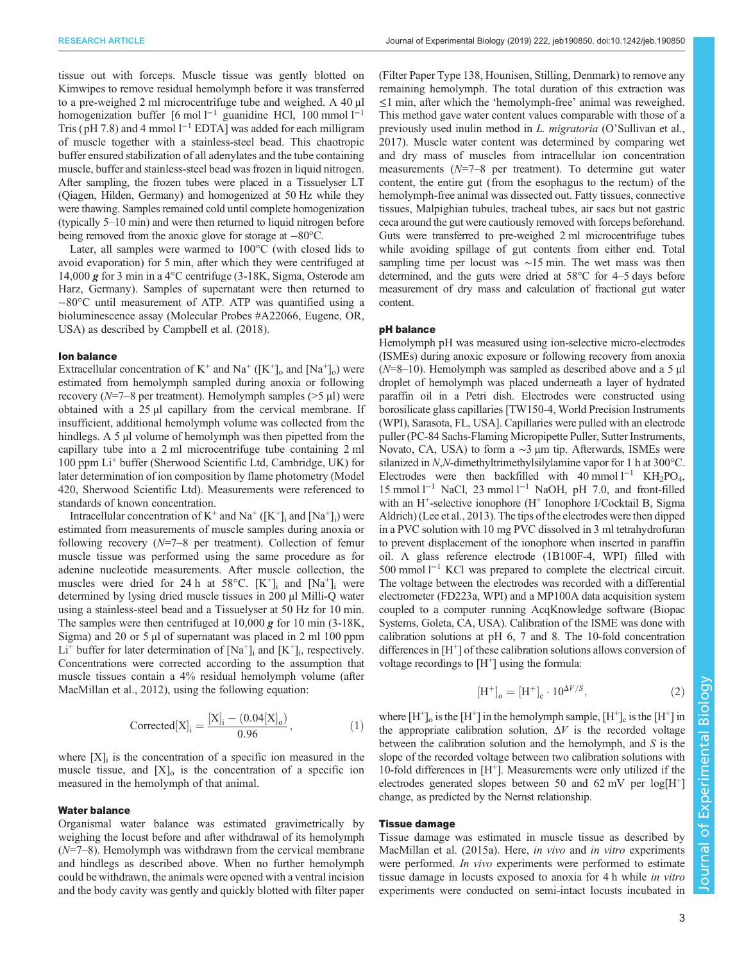tissue out with forceps. Muscle tissue was gently blotted on Kimwipes to remove residual hemolymph before it was transferred to a pre-weighed 2 ml microcentrifuge tube and weighed. A 40 μl homogenization buffer [6 mol l<sup>-1</sup> guanidine HCl, 100 mmol l<sup>-1</sup> Tris (pH 7.8) and 4 mmol l<sup>-1</sup> EDTA] was added for each milligram of muscle together with a stainless-steel bead. This chaotropic buffer ensured stabilization of all adenylates and the tube containing muscle, buffer and stainless-steel bead was frozen in liquid nitrogen. After sampling, the frozen tubes were placed in a Tissuelyser LT (Qiagen, Hilden, Germany) and homogenized at 50 Hz while they were thawing. Samples remained cold until complete homogenization (typically 5–10 min) and were then returned to liquid nitrogen before being removed from the anoxic glove for storage at −80°C.

Later, all samples were warmed to 100°C (with closed lids to avoid evaporation) for 5 min, after which they were centrifuged at 14,000 g for 3 min in a 4°C centrifuge (3-18K, Sigma, Osterode am Harz, Germany). Samples of supernatant were then returned to −80°C until measurement of ATP. ATP was quantified using a bioluminescence assay (Molecular Probes #A22066, Eugene, OR, USA) as described by [Campbell et al. \(2018\).](#page-8-0)

#### Ion balance

Extracellular concentration of  $K^+$  and  $Na^+$  ( $[K^+]_o$  and  $[Na^+]_o$ ) were estimated from hemolymph sampled during anoxia or following recovery ( $N=7-8$  per treatment). Hemolymph samples ( $>5 \mu$ l) were obtained with a  $25 \mu l$  capillary from the cervical membrane. If insufficient, additional hemolymph volume was collected from the hindlegs. A 5 µl volume of hemolymph was then pipetted from the capillary tube into a 2 ml microcentrifuge tube containing 2 ml 100 ppm Li<sup>+</sup> buffer (Sherwood Scientific Ltd, Cambridge, UK) for later determination of ion composition by flame photometry (Model 420, Sherwood Scientific Ltd). Measurements were referenced to standards of known concentration.

Intracellular concentration of  $K^+$  and  $Na^+$  ( $[K^+]$ ; and  $[Na^+]$ ;) were estimated from measurements of muscle samples during anoxia or following recovery  $(N=7-8)$  per treatment). Collection of femur muscle tissue was performed using the same procedure as for adenine nucleotide measurements. After muscle collection, the muscles were dried for 24 h at  $58^{\circ}$ C.  $[K^+]$ ; and  $[Na^+]$ ; were determined by lysing dried muscle tissues in 200 µl Milli-Q water using a stainless-steel bead and a Tissuelyser at 50 Hz for 10 min. The samples were then centrifuged at  $10,000 \times$  for  $10 \text{ min } (3-18 \text{ K},$ Sigma) and 20 or 5 µl of supernatant was placed in 2 ml 100 ppm  $Li^+$  buffer for later determination of  $[Na^+]$ ; and  $[K^+]$ ; respectively. Concentrations were corrected according to the assumption that muscle tissues contain a 4% residual hemolymph volume (after [MacMillan et al., 2012\)](#page-9-0), using the following equation:

$$
Corrected[X]_i = \frac{[X]_i - (0.04[X]_0)}{0.96},
$$
 (1)

where  $[X]_i$  is the concentration of a specific ion measured in the muscle tissue, and  $[X]_0$  is the concentration of a specific ion measured in the hemolymph of that animal.

#### Water balance

Organismal water balance was estimated gravimetrically by weighing the locust before and after withdrawal of its hemolymph  $(N=7-8)$ . Hemolymph was withdrawn from the cervical membrane and hindlegs as described above. When no further hemolymph could be withdrawn, the animals were opened with a ventral incision and the body cavity was gently and quickly blotted with filter paper

(Filter Paper Type 138, Hounisen, Stilling, Denmark) to remove any remaining hemolymph. The total duration of this extraction was ≤1 min, after which the 'hemolymph-free' animal was reweighed. This method gave water content values comparable with those of a previously used inulin method in L. migratoria (O'[Sullivan et al.,](#page-9-0) [2017\)](#page-9-0). Muscle water content was determined by comparing wet and dry mass of muscles from intracellular ion concentration measurements  $(N=7-8$  per treatment). To determine gut water content, the entire gut (from the esophagus to the rectum) of the hemolymph-free animal was dissected out. Fatty tissues, connective tissues, Malpighian tubules, tracheal tubes, air sacs but not gastric ceca around the gut were cautiously removed with forceps beforehand. Guts were transferred to pre-weighed 2 ml microcentrifuge tubes while avoiding spillage of gut contents from either end. Total sampling time per locust was ∼15 min. The wet mass was then determined, and the guts were dried at 58°C for 4–5 days before measurement of dry mass and calculation of fractional gut water content.

#### pH balance

Hemolymph pH was measured using ion-selective micro-electrodes (ISMEs) during anoxic exposure or following recovery from anoxia  $(N=8-10)$ . Hemolymph was sampled as described above and a 5 µl droplet of hemolymph was placed underneath a layer of hydrated paraffin oil in a Petri dish. Electrodes were constructed using borosilicate glass capillaries [TW150-4, World Precision Instruments (WPI), Sarasota, FL, USA]. Capillaries were pulled with an electrode puller (PC-84 Sachs-Flaming Micropipette Puller, Sutter Instruments, Novato, CA, USA) to form a ~3 μm tip. Afterwards, ISMEs were silanized in N,N-dimethyltrimethylsilylamine vapor for 1 h at 300°C. Electrodes were then backfilled with 40 mmol  $l^{-1}$  KH<sub>2</sub>PO<sub>4</sub>, 15 mmol l−<sup>1</sup> NaCl, 23 mmol l−<sup>1</sup> NaOH, pH 7.0, and front-filled with an H<sup>+</sup>-selective ionophore (H<sup>+</sup> Ionophore I/Cocktail B, Sigma Aldrich) ([Lee et al., 2013](#page-9-0)). The tips of the electrodes were then dipped in a PVC solution with 10 mg PVC dissolved in 3 ml tetrahydrofuran to prevent displacement of the ionophore when inserted in paraffin oil. A glass reference electrode (1B100F-4, WPI) filled with 500 mmol l−<sup>1</sup> KCl was prepared to complete the electrical circuit. The voltage between the electrodes was recorded with a differential electrometer (FD223a, WPI) and a MP100A data acquisition system coupled to a computer running AcqKnowledge software (Biopac Systems, Goleta, CA, USA). Calibration of the ISME was done with calibration solutions at pH 6, 7 and 8. The 10-fold concentration differences in [H<sup>+</sup>] of these calibration solutions allows conversion of voltage recordings to  $[H^+]$  using the formula:

$$
[H^+]_o = [H^+]_c \cdot 10^{\Delta V/S},\tag{2}
$$

where  $[H^+]_0$  is the  $[H^+]$  in the hemolymph sample,  $[H^+]_c$  is the  $[H^+]$  in the appropriate calibration solution,  $\Delta V$  is the recorded voltage between the calibration solution and the hemolymph, and S is the slope of the recorded voltage between two calibration solutions with 10-fold differences in  $[H^+]$ . Measurements were only utilized if the electrodes generated slopes between 50 and  $62 \text{ mV}$  per  $\log[\text{H}^+]$ change, as predicted by the Nernst relationship.

# Tissue damage

Tissue damage was estimated in muscle tissue as described by [MacMillan et al. \(2015a\)](#page-9-0). Here, in vivo and in vitro experiments were performed. In vivo experiments were performed to estimate tissue damage in locusts exposed to anoxia for 4 h while in vitro experiments were conducted on semi-intact locusts incubated in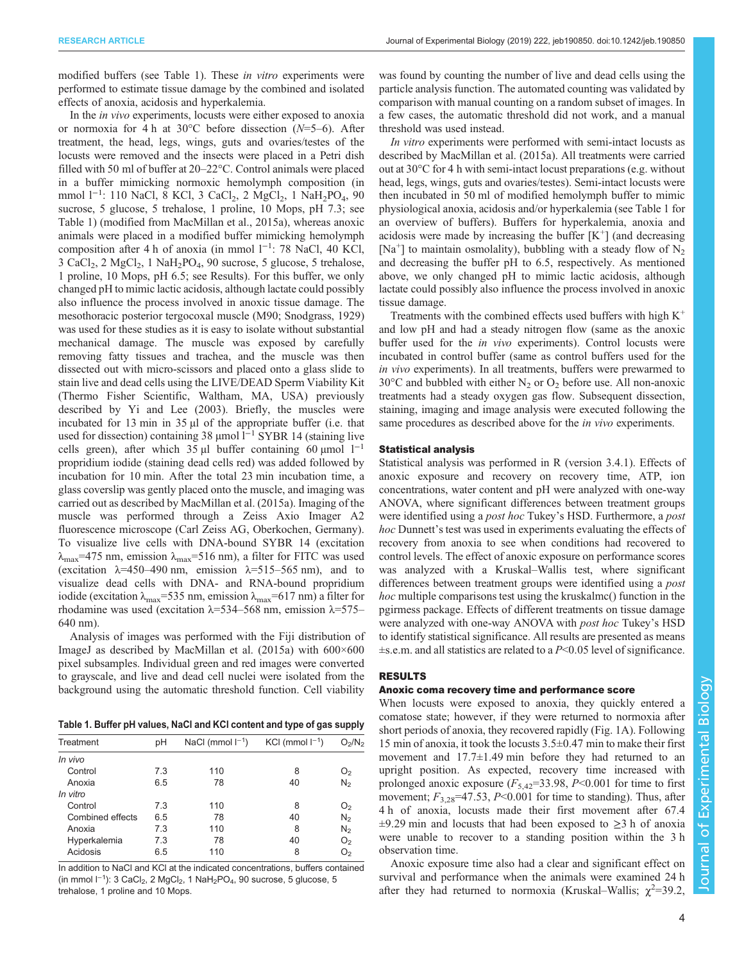modified buffers (see Table 1). These in vitro experiments were performed to estimate tissue damage by the combined and isolated effects of anoxia, acidosis and hyperkalemia.

In the in vivo experiments, locusts were either exposed to anoxia or normoxia for 4 h at 30°C before dissection  $(N=5-6)$ . After treatment, the head, legs, wings, guts and ovaries/testes of the locusts were removed and the insects were placed in a Petri dish filled with 50 ml of buffer at 20–22°C. Control animals were placed in a buffer mimicking normoxic hemolymph composition (in mmol l<sup>-1</sup>: 110 NaCl, 8 KCl, 3 CaCl<sub>2</sub>, 2 MgCl<sub>2</sub>, 1 NaH<sub>2</sub>PO<sub>4</sub>, 90 sucrose, 5 glucose, 5 trehalose, 1 proline, 10 Mops, pH 7.3; see Table 1) (modified from [MacMillan et al., 2015a\)](#page-9-0), whereas anoxic animals were placed in a modified buffer mimicking hemolymph composition after 4 h of anoxia (in mmol l−<sup>1</sup> : 78 NaCl, 40 KCl,  $3 \text{ CaCl}_2$ ,  $2 \text{ MgCl}_2$ ,  $1 \text{ NaH}_2\text{PO}_4$ ,  $90 \text{ sucrose}$ ,  $5 \text{ glucose}$ ,  $5 \text{ trehalose}$ , 1 proline, 10 Mops, pH 6.5; see Results). For this buffer, we only changed pH to mimic lactic acidosis, although lactate could possibly also influence the process involved in anoxic tissue damage. The mesothoracic posterior tergocoxal muscle (M90; [Snodgrass, 1929\)](#page-9-0) was used for these studies as it is easy to isolate without substantial mechanical damage. The muscle was exposed by carefully removing fatty tissues and trachea, and the muscle was then dissected out with micro-scissors and placed onto a glass slide to stain live and dead cells using the LIVE/DEAD Sperm Viability Kit (Thermo Fisher Scientific, Waltham, MA, USA) previously described by [Yi and Lee \(2003\).](#page-9-0) Briefly, the muscles were incubated for 13 min in 35 µl of the appropriate buffer (i.e. that used for dissection) containing 38 μmol l<sup>-1</sup> SYBR 14 (staining live cells green), after which 35 µl buffer containing 60 µmol  $1^{-1}$ propridium iodide (staining dead cells red) was added followed by incubation for 10 min. After the total 23 min incubation time, a glass coverslip was gently placed onto the muscle, and imaging was carried out as described by [MacMillan et al. \(2015a\)](#page-9-0). Imaging of the muscle was performed through a Zeiss Axio Imager A2 fluorescence microscope (Carl Zeiss AG, Oberkochen, Germany). To visualize live cells with DNA-bound SYBR 14 (excitation  $\lambda_{\text{max}}$ =475 nm, emission  $\lambda_{\text{max}}$ =516 nm), a filter for FITC was used (excitation  $\lambda$ =450–490 nm, emission  $\lambda$ =515–565 nm), and to visualize dead cells with DNA- and RNA-bound propridium iodide (excitation  $\lambda_{\text{max}}$ =535 nm, emission  $\lambda_{\text{max}}$ =617 nm) a filter for rhodamine was used (excitation  $λ=534-568$  nm, emission  $λ=575-$ 640 nm).

Analysis of images was performed with the Fiji distribution of ImageJ as described by [MacMillan et al. \(2015a\)](#page-9-0) with 600×600 pixel subsamples. Individual green and red images were converted to grayscale, and live and dead cell nuclei were isolated from the background using the automatic threshold function. Cell viability

Table 1. Buffer pH values, NaCl and KCl content and type of gas supply

| Treatment        | рH  | NaCl (mmol $I^{-1}$ ) | KCI (mmol $I^{-1}$ ) | O <sub>2</sub> /N <sub>2</sub> |
|------------------|-----|-----------------------|----------------------|--------------------------------|
| In vivo          |     |                       |                      |                                |
| Control          | 7.3 | 110                   | 8                    | O <sub>2</sub>                 |
| Anoxia           | 6.5 | 78                    | 40                   | $N_{2}$                        |
| In vitro         |     |                       |                      |                                |
| Control          | 7.3 | 110                   | 8                    | O <sub>2</sub>                 |
| Combined effects | 6.5 | 78                    | 40                   | $N_2$                          |
| Anoxia           | 7.3 | 110                   | 8                    | N <sub>2</sub>                 |
| Hyperkalemia     | 7.3 | 78                    | 40                   | O <sub>2</sub>                 |
| Acidosis         | 6.5 | 110                   | 8                    | O <sub>2</sub>                 |
|                  |     |                       |                      |                                |

In addition to NaCl and KCl at the indicated concentrations, buffers contained (in mmol l<sup>-1</sup>): 3 CaCl<sub>2</sub>, 2 MgCl<sub>2</sub>, 1 NaH<sub>2</sub>PO<sub>4</sub>, 90 sucrose, 5 glucose, 5 trehalose, 1 proline and 10 Mops.

was found by counting the number of live and dead cells using the particle analysis function. The automated counting was validated by comparison with manual counting on a random subset of images. In a few cases, the automatic threshold did not work, and a manual threshold was used instead.

In vitro experiments were performed with semi-intact locusts as described by [MacMillan et al. \(2015a\)](#page-9-0). All treatments were carried out at 30°C for 4 h with semi-intact locust preparations (e.g. without head, legs, wings, guts and ovaries/testes). Semi-intact locusts were then incubated in 50 ml of modified hemolymph buffer to mimic physiological anoxia, acidosis and/or hyperkalemia (see Table 1 for an overview of buffers). Buffers for hyperkalemia, anoxia and acidosis were made by increasing the buffer  $[K^+]$  (and decreasing [Na<sup>+</sup>] to maintain osmolality), bubbling with a steady flow of N<sub>2</sub> and decreasing the buffer pH to 6.5, respectively. As mentioned above, we only changed pH to mimic lactic acidosis, although lactate could possibly also influence the process involved in anoxic tissue damage.

Treatments with the combined effects used buffers with high  $K^+$ and low pH and had a steady nitrogen flow (same as the anoxic buffer used for the *in vivo* experiments). Control locusts were incubated in control buffer (same as control buffers used for the in vivo experiments). In all treatments, buffers were prewarmed to  $30^{\circ}$ C and bubbled with either N<sub>2</sub> or O<sub>2</sub> before use. All non-anoxic treatments had a steady oxygen gas flow. Subsequent dissection, staining, imaging and image analysis were executed following the same procedures as described above for the *in vivo* experiments.

## Statistical analysis

Statistical analysis was performed in R (version 3.4.1). Effects of anoxic exposure and recovery on recovery time, ATP, ion concentrations, water content and pH were analyzed with one-way ANOVA, where significant differences between treatment groups were identified using a *post hoc* Tukey's HSD. Furthermore, a *post* hoc Dunnett's test was used in experiments evaluating the effects of recovery from anoxia to see when conditions had recovered to control levels. The effect of anoxic exposure on performance scores was analyzed with a Kruskal–Wallis test, where significant differences between treatment groups were identified using a post hoc multiple comparisons test using the kruskalmc() function in the pgirmess package. Effects of different treatments on tissue damage were analyzed with one-way ANOVA with post hoc Tukey's HSD to identify statistical significance. All results are presented as means  $\pm$ s.e.m. and all statistics are related to a P<0.05 level of significance.

# RESULTS

#### Anoxic coma recovery time and performance score

When locusts were exposed to anoxia, they quickly entered a comatose state; however, if they were returned to normoxia after short periods of anoxia, they recovered rapidly ([Fig. 1](#page-4-0)A). Following 15 min of anoxia, it took the locusts 3.5±0.47 min to make their first movement and 17.7±1.49 min before they had returned to an upright position. As expected, recovery time increased with prolonged anoxic exposure  $(F_{5,42}=33.98, P<0.001$  for time to first movement;  $F_{3,28}$ =47.53, P<0.001 for time to standing). Thus, after 4 h of anoxia, locusts made their first movement after 67.4  $\pm$ 9.29 min and locusts that had been exposed to  $\geq$ 3 h of anoxia were unable to recover to a standing position within the 3 h observation time.

Anoxic exposure time also had a clear and significant effect on survival and performance when the animals were examined 24 h after they had returned to normoxia (Kruskal–Wallis;  $\chi^2$ =39.2,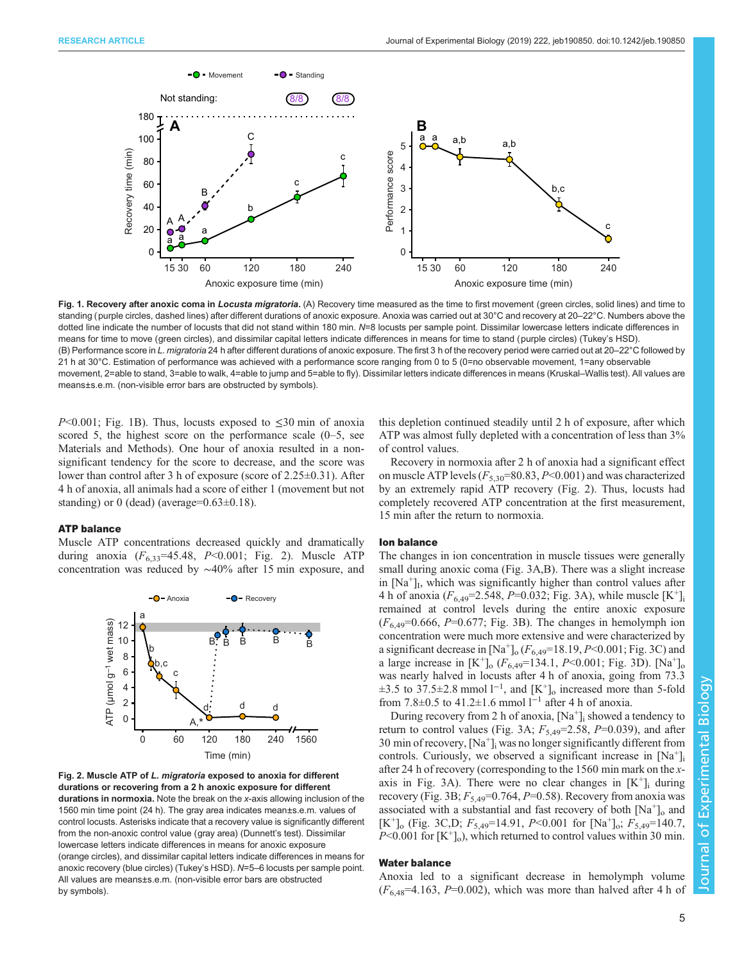<span id="page-4-0"></span>

Fig. 1. Recovery after anoxic coma in Locusta migratoria. (A) Recovery time measured as the time to first movement (green circles, solid lines) and time to standing (purple circles, dashed lines) after different durations of anoxic exposure. Anoxia was carried out at 30°C and recovery at 20–22°C. Numbers above the dotted line indicate the number of locusts that did not stand within 180 min. N=8 locusts per sample point. Dissimilar lowercase letters indicate differences in means for time to move (green circles), and dissimilar capital letters indicate differences in means for time to stand (purple circles) (Tukey's HSD). (B) Performance score in L. migratoria 24 h after different durations of anoxic exposure. The first 3 h of the recovery period were carried out at 20–22°C followed by 21 h at 30°C. Estimation of performance was achieved with a performance score ranging from 0 to 5 (0=no observable movement, 1=any observable movement, 2=able to stand, 3=able to walk, 4=able to jump and 5=able to fly). Dissimilar letters indicate differences in means (Kruskal–Wallis test). All values are means±s.e.m. (non-visible error bars are obstructed by symbols).

 $P<0.001$ ; Fig. 1B). Thus, locusts exposed to  $\leq 30$  min of anoxia scored 5, the highest score on the performance scale (0–5, see Materials and Methods). One hour of anoxia resulted in a nonsignificant tendency for the score to decrease, and the score was lower than control after 3 h of exposure (score of 2.25±0.31). After 4 h of anoxia, all animals had a score of either 1 (movement but not standing) or 0 (dead) (average= $0.63\pm0.18$ ).

# ATP balance

Muscle ATP concentrations decreased quickly and dramatically during anoxia  $(F_{6,33} = 45.48, P < 0.001$ ; Fig. 2). Muscle ATP concentration was reduced by ∼40% after 15 min exposure, and



Fig. 2. Muscle ATP of L. migratoria exposed to anoxia for different durations or recovering from a 2 h anoxic exposure for different durations in normoxia. Note the break on the x-axis allowing inclusion of the 1560 min time point (24 h). The gray area indicates mean±s.e.m. values of control locusts. Asterisks indicate that a recovery value is significantly different from the non-anoxic control value (gray area) (Dunnett's test). Dissimilar lowercase letters indicate differences in means for anoxic exposure (orange circles), and dissimilar capital letters indicate differences in means for anoxic recovery (blue circles) (Tukey's HSD). N=5–6 locusts per sample point. All values are means±s.e.m. (non-visible error bars are obstructed by symbols).

this depletion continued steadily until 2 h of exposure, after which ATP was almost fully depleted with a concentration of less than 3% of control values.

Recovery in normoxia after 2 h of anoxia had a significant effect on muscle ATP levels  $(F_{5,30}=80.83, P<0.001)$  and was characterized by an extremely rapid ATP recovery (Fig. 2). Thus, locusts had completely recovered ATP concentration at the first measurement, 15 min after the return to normoxia.

#### Ion balance

The changes in ion concentration in muscle tissues were generally small during anoxic coma [\(Fig. 3](#page-5-0)A,B). There was a slight increase in  $[Na<sup>+</sup>]$ <sub>I</sub>, which was significantly higher than control values after 4 h of anoxia ( $F_{6,49}$ =2.548, P=0.032; [Fig. 3A](#page-5-0)), while muscle [K<sup>+</sup>]<sub>i</sub> remained at control levels during the entire anoxic exposure  $(F_{6,49}=0.666, P=0.677;$  [Fig. 3B](#page-5-0)). The changes in hemolymph ion concentration were much more extensive and were characterized by a significant decrease in  $[Na^+]_0$  ( $F_{6,49}$ =18.19, P<0.001; [Fig. 3](#page-5-0)C) and a large increase in  $[K^+]_0$  ( $F_{6,49}$ =134.1,  $P$  < 0.001; [Fig. 3D](#page-5-0)). [Na<sup>+</sup>]<sub>o</sub> was nearly halved in locusts after 4 h of anoxia, going from 73.3  $\pm$ 3.5 to 37.5 $\pm$ 2.8 mmol l<sup>-1</sup>, and [K<sup>+</sup>]<sub>o</sub> increased more than 5-fold from 7.8±0.5 to 41.2±1.6 mmol  $l^{-1}$  after 4 h of anoxia.

During recovery from 2 h of anoxia,  $[Na^+]$ ; showed a tendency to return to control values ([Fig. 3A](#page-5-0);  $F_{5,49}$ =2.58, P=0.039), and after 30 min of recovery,  $[Na^+]$ ; was no longer significantly different from controls. Curiously, we observed a significant increase in  $[Na^+]$ after 24 h of recovery (corresponding to the 1560 min mark on the x-axis in [Fig. 3A](#page-5-0)). There were no clear changes in  $[K^+]$  during recovery [\(Fig. 3B](#page-5-0);  $F_{5,49}$ =0.764, P=0.58). Recovery from anoxia was associated with a substantial and fast recovery of both  $[Na^+]$ <sub>o</sub> and  $[K^+]$ <sub>o</sub> [\(Fig. 3](#page-5-0)C,D;  $F_{5,49}$ =14.91, P<0.001 for  $[Na^+]$ <sub>o</sub>;  $F_{5,49}$ =140.7,  $P<0.001$  for  $[K^+]_0$ , which returned to control values within 30 min.

#### Water balance

Anoxia led to a significant decrease in hemolymph volume  $(F_{6,48} = 4.163, P = 0.002)$ , which was more than halved after 4 h of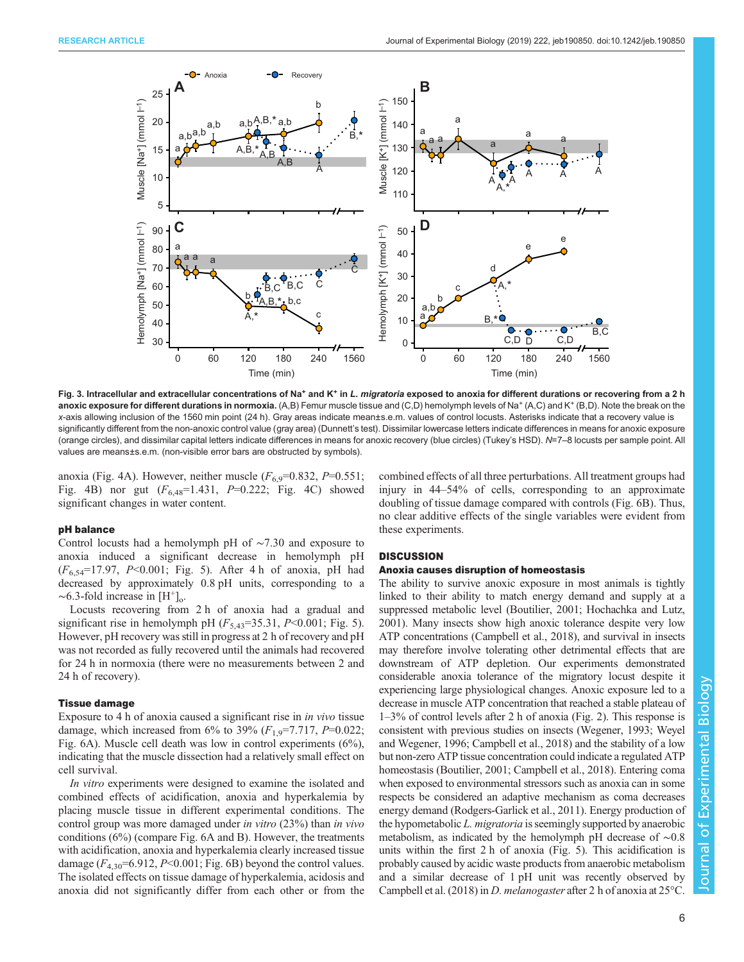<span id="page-5-0"></span>

Fig. 3. Intracellular and extracellular concentrations of Na<sup>+</sup> and K<sup>+</sup> in L. migratoria exposed to anoxia for different durations or recovering from a 2 h anoxic exposure for different durations in normoxia. (A,B) Femur muscle tissue and (C,D) hemolymph levels of Na<sup>+</sup> (A,C) and K<sup>+</sup> (B,D). Note the break on the x-axis allowing inclusion of the 1560 min point (24 h). Gray areas indicate mean±s.e.m. values of control locusts. Asterisks indicate that a recovery value is significantly different from the non-anoxic control value (gray area) (Dunnett's test). Dissimilar lowercase letters indicate differences in means for anoxic exposure (orange circles), and dissimilar capital letters indicate differences in means for anoxic recovery (blue circles) (Tukey's HSD). N=7–8 locusts per sample point. All values are means±s.e.m. (non-visible error bars are obstructed by symbols).

anoxia [\(Fig. 4A](#page-6-0)). However, neither muscle  $(F_{6.9} = 0.832, P = 0.551;$ [Fig. 4B](#page-6-0)) nor gut  $(F_{6,48}=1.431, P=0.222;$  [Fig. 4](#page-6-0)C) showed significant changes in water content.

## pH balance

Control locusts had a hemolymph pH of ∼7.30 and exposure to anoxia induced a significant decrease in hemolymph pH  $(F_{6,54}=17.97, P<0.001$ ; [Fig. 5\)](#page-6-0). After 4 h of anoxia, pH had decreased by approximately 0.8 pH units, corresponding to a  $\sim$ 6.3-fold increase in [H<sup>+</sup>]<sub>o</sub>.

Locusts recovering from 2 h of anoxia had a gradual and significant rise in hemolymph pH  $(F_{5,43}=35.31, P<0.001;$  [Fig. 5\)](#page-6-0). However, pH recovery was still in progress at 2 h of recovery and pH was not recorded as fully recovered until the animals had recovered for 24 h in normoxia (there were no measurements between 2 and 24 h of recovery).

# Tissue damage

Exposure to 4 h of anoxia caused a significant rise in in vivo tissue damage, which increased from 6% to 39%  $(F_{1.9} = 7.717, P = 0.022;$ [Fig. 6A](#page-7-0)). Muscle cell death was low in control experiments (6%), indicating that the muscle dissection had a relatively small effect on cell survival.

In vitro experiments were designed to examine the isolated and combined effects of acidification, anoxia and hyperkalemia by placing muscle tissue in different experimental conditions. The control group was more damaged under in vitro (23%) than in vivo conditions (6%) (compare [Fig. 6](#page-7-0)A and B). However, the treatments with acidification, anoxia and hyperkalemia clearly increased tissue damage  $(F_{4,30} = 6.912, P \le 0.001; Fig. 6B)$  $(F_{4,30} = 6.912, P \le 0.001; Fig. 6B)$  $(F_{4,30} = 6.912, P \le 0.001; Fig. 6B)$  beyond the control values. The isolated effects on tissue damage of hyperkalemia, acidosis and anoxia did not significantly differ from each other or from the combined effects of all three perturbations. All treatment groups had injury in 44–54% of cells, corresponding to an approximate doubling of tissue damage compared with controls ([Fig. 6B](#page-7-0)). Thus, no clear additive effects of the single variables were evident from these experiments.

# **DISCUSSION**

#### Anoxia causes disruption of homeostasis

The ability to survive anoxic exposure in most animals is tightly linked to their ability to match energy demand and supply at a suppressed metabolic level ([Boutilier, 2001;](#page-8-0) [Hochachka and Lutz,](#page-9-0) [2001\)](#page-9-0). Many insects show high anoxic tolerance despite very low ATP concentrations [\(Campbell et al., 2018\)](#page-8-0), and survival in insects may therefore involve tolerating other detrimental effects that are downstream of ATP depletion. Our experiments demonstrated considerable anoxia tolerance of the migratory locust despite it experiencing large physiological changes. Anoxic exposure led to a decrease in muscle ATP concentration that reached a stable plateau of 1–3% of control levels after 2 h of anoxia ([Fig. 2\)](#page-4-0). This response is consistent with previous studies on insects ([Wegener, 1993; Weyel](#page-9-0) [and Wegener, 1996;](#page-9-0) [Campbell et al., 2018\)](#page-8-0) and the stability of a low but non-zero ATP tissue concentration could indicate a regulated ATP homeostasis [\(Boutilier, 2001](#page-8-0); [Campbell et al., 2018](#page-8-0)). Entering coma when exposed to environmental stressors such as anoxia can in some respects be considered an adaptive mechanism as coma decreases energy demand [\(Rodgers-Garlick et al., 2011\)](#page-9-0). Energy production of the hypometabolic L. migratoria is seemingly supported by anaerobic metabolism, as indicated by the hemolymph pH decrease of ∼0.8 units within the first 2 h of anoxia [\(Fig. 5](#page-6-0)). This acidification is probably caused by acidic waste products from anaerobic metabolism and a similar decrease of 1 pH unit was recently observed by [Campbell et al. \(2018\)](#page-8-0) in D. melanogaster after 2 h of anoxia at 25°C.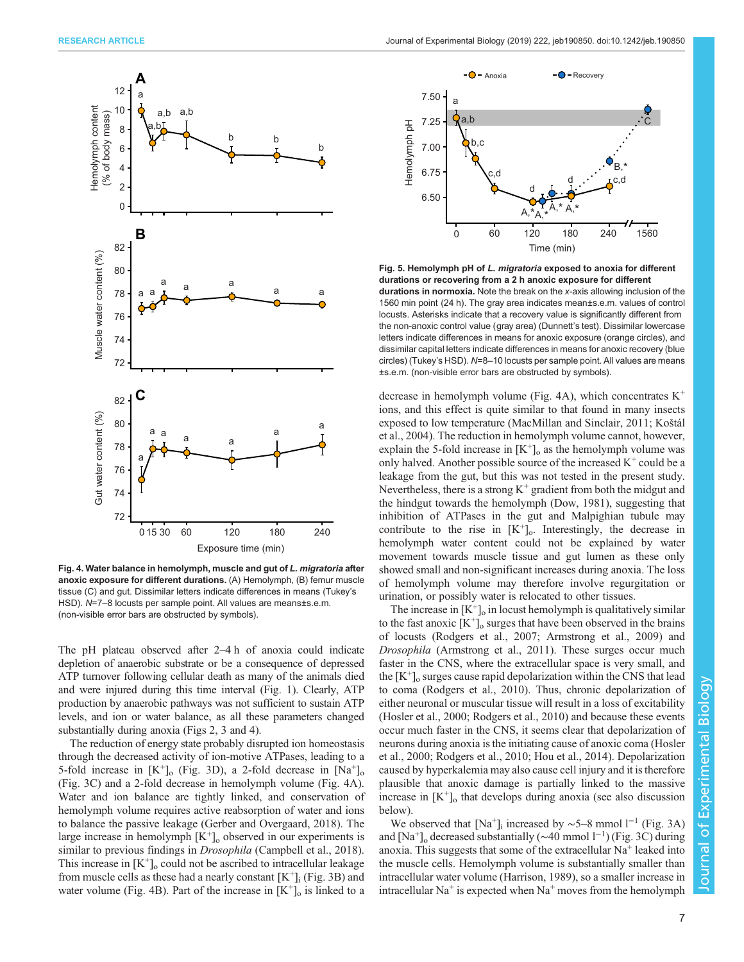<span id="page-6-0"></span>

Fig. 4. Water balance in hemolymph, muscle and gut of L. migratoria after anoxic exposure for different durations. (A) Hemolymph, (B) femur muscle tissue (C) and gut. Dissimilar letters indicate differences in means (Tukey's HSD). N=7–8 locusts per sample point. All values are means±s.e.m. (non-visible error bars are obstructed by symbols).

The pH plateau observed after 2–4 h of anoxia could indicate depletion of anaerobic substrate or be a consequence of depressed ATP turnover following cellular death as many of the animals died and were injured during this time interval [\(Fig. 1](#page-4-0)). Clearly, ATP production by anaerobic pathways was not sufficient to sustain ATP levels, and ion or water balance, as all these parameters changed substantially during anoxia ([Figs 2](#page-4-0), [3](#page-5-0) and 4).

The reduction of energy state probably disrupted ion homeostasis through the decreased activity of ion-motive ATPases, leading to a 5-fold increase in  $[K^+]_0$  [\(Fig. 3](#page-5-0)D), a 2-fold decrease in  $[Na^+]_0$ [\(Fig. 3C](#page-5-0)) and a 2-fold decrease in hemolymph volume (Fig. 4A). Water and ion balance are tightly linked, and conservation of hemolymph volume requires active reabsorption of water and ions to balance the passive leakage [\(Gerber and Overgaard, 2018](#page-8-0)). The large increase in hemolymph  $[K^+]_0$  observed in our experiments is similar to previous findings in Drosophila ([Campbell et al., 2018\)](#page-8-0). This increase in  $[K^+]_0$  could not be ascribed to intracellular leakage from muscle cells as these had a nearly constant  $[K^+]_i$  [\(Fig. 3B](#page-5-0)) and water volume (Fig. 4B). Part of the increase in  $[K^+]_0$  is linked to a



Fig. 5. Hemolymph pH of L. migratoria exposed to anoxia for different durations or recovering from a 2 h anoxic exposure for different durations in normoxia. Note the break on the x-axis allowing inclusion of the 1560 min point (24 h). The gray area indicates mean±s.e.m. values of control locusts. Asterisks indicate that a recovery value is significantly different from the non-anoxic control value (gray area) (Dunnett's test). Dissimilar lowercase letters indicate differences in means for anoxic exposure (orange circles), and dissimilar capital letters indicate differences in means for anoxic recovery (blue circles) (Tukey's HSD). N=8–10 locusts per sample point. All values are means ±s.e.m. (non-visible error bars are obstructed by symbols).

decrease in hemolymph volume (Fig. 4A), which concentrates  $K^+$ ions, and this effect is quite similar to that found in many insects exposed to low temperature [\(MacMillan and Sinclair, 2011](#page-9-0); [Ko](#page-9-0)štál [et al., 2004\)](#page-9-0). The reduction in hemolymph volume cannot, however, explain the 5-fold increase in  $[K^+]_o$  as the hemolymph volume was only halved. Another possible source of the increased  $K^+$  could be a leakage from the gut, but this was not tested in the present study. Nevertheless, there is a strong  $K^+$  gradient from both the midgut and the hindgut towards the hemolymph [\(Dow, 1981\)](#page-8-0), suggesting that inhibition of ATPases in the gut and Malpighian tubule may contribute to the rise in  $[K^+]$ . Interestingly, the decrease in hemolymph water content could not be explained by water movement towards muscle tissue and gut lumen as these only showed small and non-significant increases during anoxia. The loss of hemolymph volume may therefore involve regurgitation or urination, or possibly water is relocated to other tissues.

The increase in  $[K^+]_0$  in locust hemolymph is qualitatively similar to the fast anoxic  $[K^+]_0$  surges that have been observed in the brains of locusts ([Rodgers et al., 2007](#page-9-0); [Armstrong et al., 2009](#page-8-0)) and Drosophila [\(Armstrong et al., 2011\)](#page-8-0). These surges occur much faster in the CNS, where the extracellular space is very small, and the  $[K^{\dagger}]_o$  surges cause rapid depolarization within the CNS that lead to coma ([Rodgers et al., 2010\)](#page-9-0). Thus, chronic depolarization of either neuronal or muscular tissue will result in a loss of excitability [\(Hosler et al., 2000](#page-9-0); [Rodgers et al., 2010\)](#page-9-0) and because these events occur much faster in the CNS, it seems clear that depolarization of neurons during anoxia is the initiating cause of anoxic coma ([Hosler](#page-9-0) [et al., 2000; Rodgers et al., 2010; Hou et al., 2014](#page-9-0)). Depolarization caused by hyperkalemia may also cause cell injury and it is therefore plausible that anoxic damage is partially linked to the massive increase in  $[K^{\dagger}]_o$  that develops during anoxia (see also discussion below).

We observed that [Na<sup>+</sup>]<sub>i</sub> increased by ~5–8 mmol l<sup>−1</sup> ([Fig. 3](#page-5-0)A) and [Na<sup>+</sup>]<sub>o</sub> decreased substantially (~40 mmol l<sup>-1</sup>) ([Fig. 3](#page-5-0)C) during anoxia. This suggests that some of the extracellular  $Na<sup>+</sup>$  leaked into the muscle cells. Hemolymph volume is substantially smaller than intracellular water volume [\(Harrison, 1989\)](#page-8-0), so a smaller increase in intracellular Na<sup>+</sup> is expected when Na<sup>+</sup> moves from the hemolymph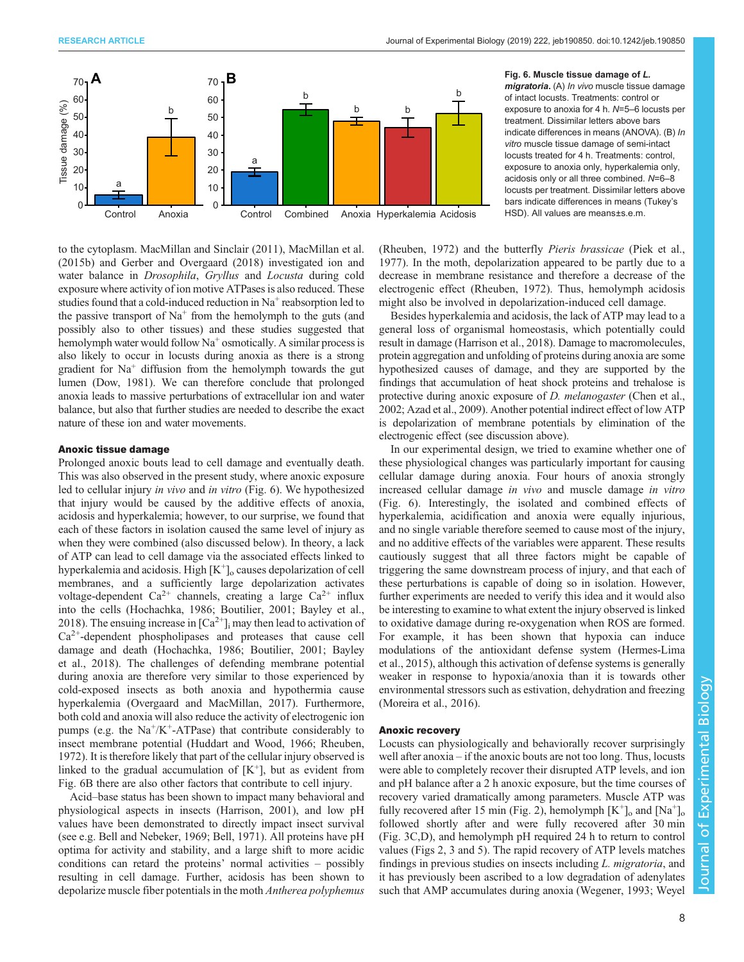<span id="page-7-0"></span>

Fig. 6. Muscle tissue damage of L. migratoria. (A) In vivo muscle tissue damage of intact locusts. Treatments: control or exposure to anoxia for 4 h. N=5–6 locusts per treatment. Dissimilar letters above bars indicate differences in means (ANOVA). (B) In vitro muscle tissue damage of semi-intact locusts treated for 4 h. Treatments: control, exposure to anoxia only, hyperkalemia only, acidosis only or all three combined. N=6–8 locusts per treatment. Dissimilar letters above bars indicate differences in means (Tukey's HSD). All values are means±s.e.m.

to the cytoplasm. [MacMillan and Sinclair \(2011\), MacMillan et al.](#page-9-0) [\(2015b\)](#page-9-0) and [Gerber and Overgaard \(2018\)](#page-8-0) investigated ion and water balance in Drosophila, Gryllus and Locusta during cold exposure where activity of ion motive ATPases is also reduced. These studies found that a cold-induced reduction in  $Na<sup>+</sup>$  reabsorption led to the passive transport of  $Na<sup>+</sup>$  from the hemolymph to the guts (and possibly also to other tissues) and these studies suggested that hemolymph water would follow  $Na^+$  osmotically. A similar process is also likely to occur in locusts during anoxia as there is a strong gradient for  $Na<sup>+</sup>$  diffusion from the hemolymph towards the gut lumen [\(Dow, 1981\)](#page-8-0). We can therefore conclude that prolonged anoxia leads to massive perturbations of extracellular ion and water balance, but also that further studies are needed to describe the exact nature of these ion and water movements.

## Anoxic tissue damage

Prolonged anoxic bouts lead to cell damage and eventually death. This was also observed in the present study, where anoxic exposure led to cellular injury in vivo and in vitro (Fig. 6). We hypothesized that injury would be caused by the additive effects of anoxia, acidosis and hyperkalemia; however, to our surprise, we found that each of these factors in isolation caused the same level of injury as when they were combined (also discussed below). In theory, a lack of ATP can lead to cell damage via the associated effects linked to hyperkalemia and acidosis. High  $[K^+]_0$  causes depolarization of cell membranes, and a sufficiently large depolarization activates voltage-dependent  $Ca^{2+}$  channels, creating a large  $Ca^{2+}$  influx into the cells ([Hochachka, 1986; Boutilier, 2001](#page-8-0); [Bayley et al.,](#page-8-0) [2018](#page-8-0)). The ensuing increase in  $\lceil Ca^{2+} \rceil$  may then lead to activation of  $Ca<sup>2+</sup>$ -dependent phospholipases and proteases that cause cell damage and death ([Hochachka, 1986](#page-8-0); [Boutilier, 2001; Bayley](#page-8-0) [et al., 2018](#page-8-0)). The challenges of defending membrane potential during anoxia are therefore very similar to those experienced by cold-exposed insects as both anoxia and hypothermia cause hyperkalemia ([Overgaard and MacMillan, 2017](#page-9-0)). Furthermore, both cold and anoxia will also reduce the activity of electrogenic ion pumps (e.g. the  $Na^+/K^+$ -ATPase) that contribute considerably to insect membrane potential [\(Huddart and Wood, 1966](#page-9-0); [Rheuben,](#page-9-0) [1972](#page-9-0)). It is therefore likely that part of the cellular injury observed is linked to the gradual accumulation of  $[K^+]$ , but as evident from Fig. 6B there are also other factors that contribute to cell injury.

Acid–base status has been shown to impact many behavioral and physiological aspects in insects [\(Harrison, 2001\)](#page-8-0), and low pH values have been demonstrated to directly impact insect survival (see e.g. [Bell and Nebeker, 1969](#page-8-0); [Bell, 1971](#page-8-0)). All proteins have pH optima for activity and stability, and a large shift to more acidic conditions can retard the proteins' normal activities – possibly resulting in cell damage. Further, acidosis has been shown to depolarize muscle fiber potentials in the moth Antherea polyphemus [\(Rheuben, 1972](#page-9-0)) and the butterfly Pieris brassicae ([Piek et al.,](#page-9-0) [1977\)](#page-9-0). In the moth, depolarization appeared to be partly due to a decrease in membrane resistance and therefore a decrease of the electrogenic effect ([Rheuben, 1972\)](#page-9-0). Thus, hemolymph acidosis might also be involved in depolarization-induced cell damage.

Besides hyperkalemia and acidosis, the lack of ATP may lead to a general loss of organismal homeostasis, which potentially could result in damage [\(Harrison et al., 2018](#page-8-0)). Damage to macromolecules, protein aggregation and unfolding of proteins during anoxia are some hypothesized causes of damage, and they are supported by the findings that accumulation of heat shock proteins and trehalose is protective during anoxic exposure of *D. melanogaster* ([Chen et al.,](#page-8-0) [2002; Azad et al., 2009\)](#page-8-0). Another potential indirect effect of low ATP is depolarization of membrane potentials by elimination of the electrogenic effect (see discussion above).

In our experimental design, we tried to examine whether one of these physiological changes was particularly important for causing cellular damage during anoxia. Four hours of anoxia strongly increased cellular damage in vivo and muscle damage in vitro (Fig. 6). Interestingly, the isolated and combined effects of hyperkalemia, acidification and anoxia were equally injurious, and no single variable therefore seemed to cause most of the injury, and no additive effects of the variables were apparent. These results cautiously suggest that all three factors might be capable of triggering the same downstream process of injury, and that each of these perturbations is capable of doing so in isolation. However, further experiments are needed to verify this idea and it would also be interesting to examine to what extent the injury observed is linked to oxidative damage during re-oxygenation when ROS are formed. For example, it has been shown that hypoxia can induce modulations of the antioxidant defense system ([Hermes-Lima](#page-8-0) [et al., 2015](#page-8-0)), although this activation of defense systems is generally weaker in response to hypoxia/anoxia than it is towards other environmental stressors such as estivation, dehydration and freezing [\(Moreira et al., 2016](#page-9-0)).

## Anoxic recovery

Locusts can physiologically and behaviorally recover surprisingly well after anoxia – if the anoxic bouts are not too long. Thus, locusts were able to completely recover their disrupted ATP levels, and ion and pH balance after a 2 h anoxic exposure, but the time courses of recovery varied dramatically among parameters. Muscle ATP was fully recovered after 15 min [\(Fig. 2\)](#page-4-0), hemolymph  $[K^+]_0$  and  $[Na^+]_0$ followed shortly after and were fully recovered after 30 min [\(Fig. 3](#page-5-0)C,D), and hemolymph pH required 24 h to return to control values ([Figs 2](#page-4-0), [3](#page-5-0) and [5\)](#page-6-0). The rapid recovery of ATP levels matches findings in previous studies on insects including L. migratoria, and it has previously been ascribed to a low degradation of adenylates such that AMP accumulates during anoxia ([Wegener, 1993](#page-9-0); [Weyel](#page-9-0)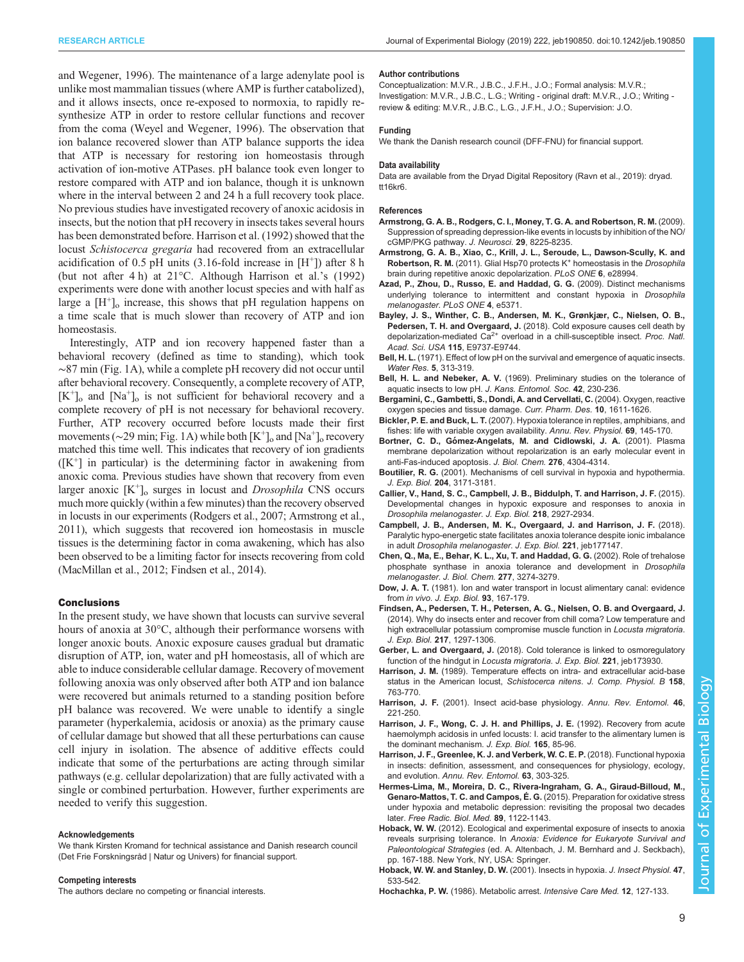<span id="page-8-0"></span>[and Wegener, 1996\)](#page-9-0). The maintenance of a large adenylate pool is unlike most mammalian tissues (where AMP is further catabolized), and it allows insects, once re-exposed to normoxia, to rapidly resynthesize ATP in order to restore cellular functions and recover from the coma ([Weyel and Wegener, 1996\)](#page-9-0). The observation that ion balance recovered slower than ATP balance supports the idea that ATP is necessary for restoring ion homeostasis through activation of ion-motive ATPases. pH balance took even longer to restore compared with ATP and ion balance, though it is unknown where in the interval between 2 and 24 h a full recovery took place. No previous studies have investigated recovery of anoxic acidosis in insects, but the notion that pH recovery in insects takes several hours has been demonstrated before. Harrison et al. (1992) showed that the locust Schistocerca gregaria had recovered from an extracellular acidification of 0.5 pH units  $(3.16\text{-}fold$  increase in  $[H^+])$  after 8 h (but not after 4 h) at 21°C. Although Harrison et al.'s (1992) experiments were done with another locust species and with half as large a  $[H^+]$ <sub>o</sub> increase, this shows that pH regulation happens on a time scale that is much slower than recovery of ATP and ion homeostasis.

Interestingly, ATP and ion recovery happened faster than a behavioral recovery (defined as time to standing), which took ∼87 min ([Fig. 1](#page-4-0)A), while a complete pH recovery did not occur until after behavioral recovery. Consequently, a complete recovery of ATP, [K+ ]o and [Na+ ]o is not sufficient for behavioral recovery and a complete recovery of pH is not necessary for behavioral recovery. Further, ATP recovery occurred before locusts made their first movements ( $\sim$ 29 min; [Fig. 1](#page-4-0)A) while both [K<sup>+</sup>]<sub>o</sub> and [Na<sup>+</sup>]<sub>o</sub> recovery matched this time well. This indicates that recovery of ion gradients  $([K^+]$  in particular) is the determining factor in awakening from anoxic coma. Previous studies have shown that recovery from even larger anoxic  $[K^+]_0$  surges in locust and *Drosophila* CNS occurs much more quickly (within a few minutes) than the recovery observed in locusts in our experiments [\(Rodgers et al., 2007](#page-9-0); Armstrong et al., 2011), which suggests that recovered ion homeostasis in muscle tissues is the determining factor in coma awakening, which has also been observed to be a limiting factor for insects recovering from cold [\(MacMillan et al., 2012;](#page-9-0) Findsen et al., 2014).

#### Conclusions

In the present study, we have shown that locusts can survive several hours of anoxia at 30°C, although their performance worsens with longer anoxic bouts. Anoxic exposure causes gradual but dramatic disruption of ATP, ion, water and pH homeostasis, all of which are able to induce considerable cellular damage. Recovery of movement following anoxia was only observed after both ATP and ion balance were recovered but animals returned to a standing position before pH balance was recovered. We were unable to identify a single parameter (hyperkalemia, acidosis or anoxia) as the primary cause of cellular damage but showed that all these perturbations can cause cell injury in isolation. The absence of additive effects could indicate that some of the perturbations are acting through similar pathways (e.g. cellular depolarization) that are fully activated with a single or combined perturbation. However, further experiments are needed to verify this suggestion.

#### Acknowledgements

We thank Kirsten Kromand for technical assistance and Danish research council (Det Frie Forskningsråd | Natur og Univers) for financial support.

#### Competing interests

The authors declare no competing or financial interests.

#### Author contributions

Conceptualization: M.V.R., J.B.C., J.F.H., J.O.; Formal analysis: M.V.R.; Investigation: M.V.R., J.B.C., L.G.; Writing - original draft: M.V.R., J.O.; Writing review & editing: M.V.R., J.B.C., L.G., J.F.H., J.O.; Supervision: J.O.

#### Funding

We thank the Danish research council (DFF-FNU) for financial support.

#### Data availability

Data are available from the Dryad Digital Repository ([Ravn et al., 2019](#page-9-0)): [dryad.](https://datadryad.org/resource/doi:10.5061/dryad.tt16kr6/1) [tt16kr6](https://datadryad.org/resource/doi:10.5061/dryad.tt16kr6/1).

#### References

- [Armstrong, G. A. B., Rodgers, C. I., Money, T. G. A. and Robertson, R. M.](https://doi.org/10.1523/JNEUROSCI.1652-09.2009) (2009). [Suppression of spreading depression-like events in locusts by inhibition of the NO/](https://doi.org/10.1523/JNEUROSCI.1652-09.2009) [cGMP/PKG pathway.](https://doi.org/10.1523/JNEUROSCI.1652-09.2009) J. Neurosci. 29, 8225-8235.
- [Armstrong, G. A. B., Xiao, C., Krill, J. L., Seroude, L., Dawson-Scully, K. and](https://doi.org/10.1371/journal.pone.0028994) Robertson, R. M. [\(2011\).](https://doi.org/10.1371/journal.pone.0028994) [Glial](https://doi.org/10.1371/journal.pone.0028994) [Hsp70](https://doi.org/10.1371/journal.pone.0028994) [protects](https://doi.org/10.1371/journal.pone.0028994) K<sup>+</sup> [homeostasis in the](https://doi.org/10.1371/journal.pone.0028994) Drosophila [brain during repetitive anoxic depolarization.](https://doi.org/10.1371/journal.pone.0028994) PLoS ONE 6, e28994.
- [Azad, P., Zhou, D., Russo, E. and Haddad, G. G.](https://doi.org/10.1371/journal.pone.0005371) (2009). Distinct mechanisms [underlying tolerance to intermittent and constant hypoxia in](https://doi.org/10.1371/journal.pone.0005371) Drosophila [melanogaster](https://doi.org/10.1371/journal.pone.0005371). PLoS ONE 4, e5371.
- [Bayley, J. S., Winther, C. B., Andersen, M. K., Grønkjær, C., Nielsen, O. B.,](https://doi.org/10.1073/pnas.1813532115) Pedersen, T. H. and Overgaard, J. [\(2018\). Cold exposure causes cell death by](https://doi.org/10.1073/pnas.1813532115) depolarization-mediated  $Ca^{2+}$  [overload in a chill-susceptible insect.](https://doi.org/10.1073/pnas.1813532115) Proc. Natl. Acad. Sci. USA 115[, E9737-E9744.](https://doi.org/10.1073/pnas.1813532115)
- Bell, H. L. [\(1971\). Effect of low pH on the survival and emergence of aquatic insects.](https://doi.org/10.1016/0043-1354(71)90176-X) [Water Res.](https://doi.org/10.1016/0043-1354(71)90176-X) 5, 313-319.
- Bell, H. L. and Nebeker, A. V. (1969). Preliminary studies on the tolerance of aquatic insects to low pH. J. Kans. Entomol. Soc. 42, 230-236.
- [Bergamini, C., Gambetti, S., Dondi, A. and Cervellati, C.](https://doi.org/10.2174/1381612043384664) (2004). Oxygen, reactive [oxygen species and tissue damage.](https://doi.org/10.2174/1381612043384664) Curr. Pharm. Des. 10, 1611-1626.
- Bickler, P. E. and Buck, L. T. [\(2007\). Hypoxia tolerance in reptiles, amphibians, and](https://doi.org/10.1146/annurev.physiol.69.031905.162529) [fishes: life with variable oxygen availability.](https://doi.org/10.1146/annurev.physiol.69.031905.162529) Annu. Rev. Physiol. 69, 145-170.
- Bortner, C. D., Gó[mez-Angelats, M. and Cidlowski, J. A.](https://doi.org/10.1074/jbc.M005171200) (2001). Plasma [membrane depolarization without repolarization is an early molecular event in](https://doi.org/10.1074/jbc.M005171200) [anti-Fas-induced apoptosis.](https://doi.org/10.1074/jbc.M005171200) J. Biol. Chem. 276, 4304-4314.
- Boutilier, R. G. (2001). Mechanisms of cell survival in hypoxia and hypothermia. J. Exp. Biol. 204, 3171-3181.
- [Callier, V., Hand, S. C., Campbell, J. B., Biddulph, T. and Harrison, J. F.](https://doi.org/10.1242/jeb.125849) (2015). [Developmental changes in hypoxic exposure and responses to anoxia in](https://doi.org/10.1242/jeb.125849) [Drosophila melanogaster](https://doi.org/10.1242/jeb.125849). J. Exp. Biol. 218, 2927-2934.
- [Campbell, J. B., Andersen, M. K., Overgaard, J. and Harrison, J. F.](https://doi.org/10.1242/jeb.177147) (2018). [Paralytic hypo-energetic state facilitates anoxia tolerance despite ionic imbalance](https://doi.org/10.1242/jeb.177147) in adult [Drosophila melanogaster](https://doi.org/10.1242/jeb.177147). J. Exp. Biol. 221, jeb177147.
- [Chen, Q., Ma, E., Behar, K. L., Xu, T. and Haddad, G. G.](https://doi.org/10.1074/jbc.M109479200) (2002). Role of trehalose [phosphate synthase in anoxia tolerance and development in](https://doi.org/10.1074/jbc.M109479200) Drosophila melanogaster. [J. Biol. Chem.](https://doi.org/10.1074/jbc.M109479200) 277, 3274-3279.
- Dow, J. A. T. (1981). Ion and water transport in locust alimentary canal: evidence from in vivo. J. Exp. Biol. 93, 167-179.
- [Findsen, A., Pedersen, T. H., Petersen, A. G., Nielsen, O. B. and Overgaard, J.](https://doi.org/10.1242/jeb.098442) [\(2014\). Why do insects enter and recover from chill coma? Low temperature and](https://doi.org/10.1242/jeb.098442) [high extracellular potassium compromise muscle function in](https://doi.org/10.1242/jeb.098442) Locusta migratoria. J. Exp. Biol. 217[, 1297-1306.](https://doi.org/10.1242/jeb.098442)
- Gerber, L. and Overgaard, J. [\(2018\). Cold tolerance is linked to osmoregulatory](https://doi.org/10.1242/jeb.173930) [function of the hindgut in](https://doi.org/10.1242/jeb.173930) Locusta migratoria. J. Exp. Biol. 221, jeb173930.
- Harrison, J. M. [\(1989\). Temperature effects on intra- and extracellular acid-base](https://doi.org/10.1007/BF00693015) [status in the American locust,](https://doi.org/10.1007/BF00693015) Schistocerca nitens. J. Comp. Physiol. B 158, [763-770.](https://doi.org/10.1007/BF00693015)
- Harrison, J. F. [\(2001\). Insect acid-base physiology.](https://doi.org/10.1146/annurev.ento.46.1.221) Annu. Rev. Entomol. 46 [221-250.](https://doi.org/10.1146/annurev.ento.46.1.221)
- Harrison, J. F., Wong, C. J. H. and Phillips, J. E. (1992). Recovery from acute haemolymph acidosis in unfed locusts: I. acid transfer to the alimentary lumen is the dominant mechanism. J. Exp. Biol. 165, 85-96.
- [Harrison, J. F., Greenlee, K. J. and Verberk, W. C. E. P.](https://doi.org/10.1146/annurev-ento-020117-043145) (2018). Functional hypoxia [in insects: definition, assessment, and consequences for physiology, ecology,](https://doi.org/10.1146/annurev-ento-020117-043145) and evolution. [Annu. Rev. Entomol.](https://doi.org/10.1146/annurev-ento-020117-043145) 63, 303-325.
- [Hermes-Lima, M., Moreira, D. C., Rivera-Ingraham, G. A., Giraud-Billoud, M.,](https://doi.org/10.1016/j.freeradbiomed.2015.07.156) [Genaro-Mattos, T. C. and Campos, É. G.](https://doi.org/10.1016/j.freeradbiomed.2015.07.156) (2015). Preparation for oxidative stress [under hypoxia and metabolic depression: revisiting the proposal two decades](https://doi.org/10.1016/j.freeradbiomed.2015.07.156) later. [Free Radic. Biol. Med.](https://doi.org/10.1016/j.freeradbiomed.2015.07.156) 89, 1122-1143.
- Hoback, W. W. (2012). Ecological and experimental exposure of insects to anoxia reveals surprising tolerance. In Anoxia: Evidence for Eukaryote Survival and Paleontological Strategies (ed. A. Altenbach, J. M. Bernhard and J. Seckbach), pp. 167-188. New York, NY, USA: Springer.
- [Hoback, W. W. and Stanley, D. W.](https://doi.org/10.1016/S0022-1910(00)00153-0) (2001). Insects in hypoxia. J. Insect Physiol. 47, [533-542.](https://doi.org/10.1016/S0022-1910(00)00153-0)
- Hochachka, P. W. [\(1986\). Metabolic arrest.](https://doi.org/10.1007/BF00254926) Intensive Care Med. 12, 127-133.